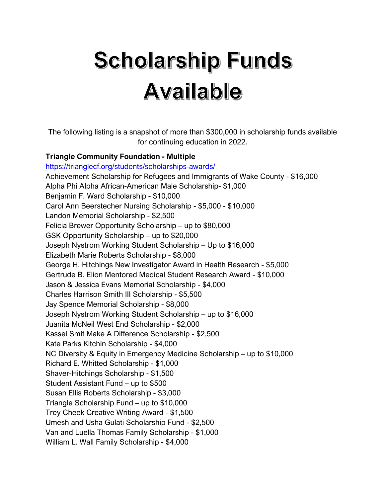# **Scholarship Funds Available**

The following listing is a snapshot of more than \$300,000 in scholarship funds available for continuing education in 2022.

#### **Triangle Community Foundation - Multiple**

https://trianglecf.org/students/scholarships-awards/ Achievement Scholarship for Refugees and Immigrants of Wake County - \$16,000 Alpha Phi Alpha African-American Male Scholarship- \$1,000 Benjamin F. Ward Scholarship - \$10,000 Carol Ann Beerstecher Nursing Scholarship - \$5,000 - \$10,000 Landon Memorial Scholarship - \$2,500 Felicia Brewer Opportunity Scholarship – up to \$80,000 GSK Opportunity Scholarship – up to \$20,000 Joseph Nystrom Working Student Scholarship – Up to \$16,000 Elizabeth Marie Roberts Scholarship - \$8,000 George H. Hitchings New Investigator Award in Health Research - \$5,000 Gertrude B. Elion Mentored Medical Student Research Award - \$10,000 Jason & Jessica Evans Memorial Scholarship - \$4,000 Charles Harrison Smith III Scholarship - \$5,500 Jay Spence Memorial Scholarship - \$8,000 Joseph Nystrom Working Student Scholarship – up to \$16,000 Juanita McNeil West End Scholarship - \$2,000 Kassel Smit Make A Difference Scholarship - \$2,500 Kate Parks Kitchin Scholarship - \$4,000 NC Diversity & Equity in Emergency Medicine Scholarship – up to \$10,000 Richard E. Whitted Scholarship - \$1,000 Shaver-Hitchings Scholarship - \$1,500 Student Assistant Fund – up to \$500 Susan Ellis Roberts Scholarship - \$3,000 Triangle Scholarship Fund – up to \$10,000 Trey Cheek Creative Writing Award - \$1,500 Umesh and Usha Gulati Scholarship Fund - \$2,500 Van and Luella Thomas Family Scholarship - \$1,000 William L. Wall Family Scholarship - \$4,000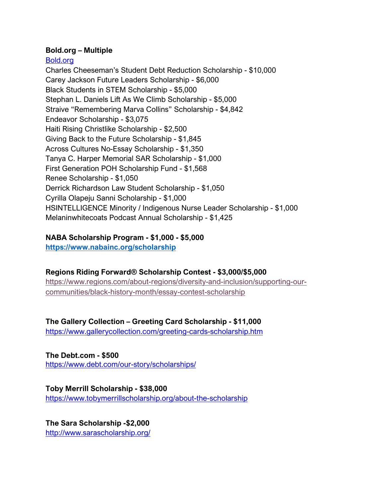#### **Bold.org – Multiple**

#### Bold.org

Charles Cheeseman's Student Debt Reduction Scholarship - \$10,000 Carey Jackson Future Leaders Scholarship - \$6,000 Black Students in STEM Scholarship - \$5,000 Stephan L. Daniels Lift As We Climb Scholarship - \$5,000 Straive "Remembering Marva Collins" Scholarship - \$4,842 Endeavor Scholarship - \$3,075 Haiti Rising Christlike Scholarship - \$2,500 Giving Back to the Future Scholarship - \$1,845 Across Cultures No-Essay Scholarship - \$1,350 Tanya C. Harper Memorial SAR Scholarship - \$1,000 First Generation POH Scholarship Fund - \$1,568 Renee Scholarship - \$1,050 Derrick Richardson Law Student Scholarship - \$1,050 Cyrilla Olapeju Sanni Scholarship - \$1,000 HSINTELLIGENCE Minority / Indigenous Nurse Leader Scholarship - \$1,000 Melaninwhitecoats Podcast Annual Scholarship - \$1,425

## **NABA Scholarship Program - \$1,000 - \$5,000**

**https://www.nabainc.org/scholarship**

## **Regions Riding Forward® Scholarship Contest - \$3,000/\$5,000**

https://www.regions.com/about-regions/diversity-and-inclusion/supporting-ourcommunities/black-history-month/essay-contest-scholarship

## **The Gallery Collection – Greeting Card Scholarship - \$11,000**

https://www.gallerycollection.com/greeting-cards-scholarship.htm

**The Debt.com - \$500** https://www.debt.com/our-story/scholarships/

**Toby Merrill Scholarship - \$38,000** https://www.tobymerrillscholarship.org/about-the-scholarship

**The Sara Scholarship -\$2,000** http://www.sarascholarship.org/